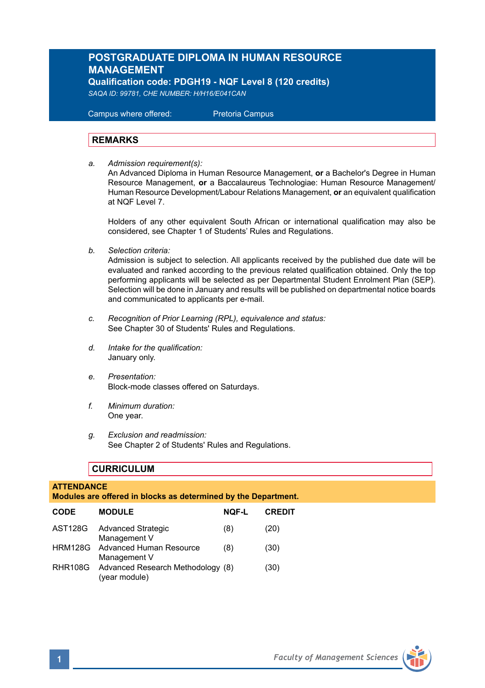# **POSTGRADUATE DIPLOMA IN HUMAN RESOURCE MANAGEMENT**

**Qualification code: PDGH19 - NQF Level 8 (120 credits)**  *SAQA ID: 99781, CHE NUMBER: H/H16/E041CAN* 

 Campus where offered: Pretoria Campus

#### **REMARKS**

*a. Admission requirement(s):*  An Advanced Diploma in Human Resource Management, **or** a Bachelor's Degree in Human Resource Management, **or** a Baccalaureus Technologiae: Human Resource Management/ Human Resource Development/Labour Relations Management, **or** an equivalent qualification at NQF Level 7.

Holders of any other equivalent South African or international qualification may also be considered, see Chapter 1 of Students' Rules and Regulations.

*b. Selection criteria:*

Admission is subject to selection. All applicants received by the published due date will be evaluated and ranked according to the previous related qualification obtained. Only the top performing applicants will be selected as per Departmental Student Enrolment Plan (SEP). Selection will be done in January and results will be published on departmental notice boards and communicated to applicants per e-mail.

- *c. Recognition of Prior Learning (RPL), equivalence and status:* See Chapter 30 of Students' Rules and Regulations.
- *d. Intake for the qualification:* January only.
- *e. Presentation:* Block-mode classes offered on Saturdays.
- *f. Minimum duration:* One year.
- *g. Exclusion and readmission:* See Chapter 2 of Students' Rules and Regulations.

# **CURRICULUM**

# **ATTENDANCE Modules are offered in blocks as determined by the Department. CODE MODULE NQF-L CREDIT** AST128G Advanced Strategic (8) (20) Management V HRM128G Advanced Human Resource (8) (30) Management V RHR108G Advanced Research Methodology (8) (30) (year module)

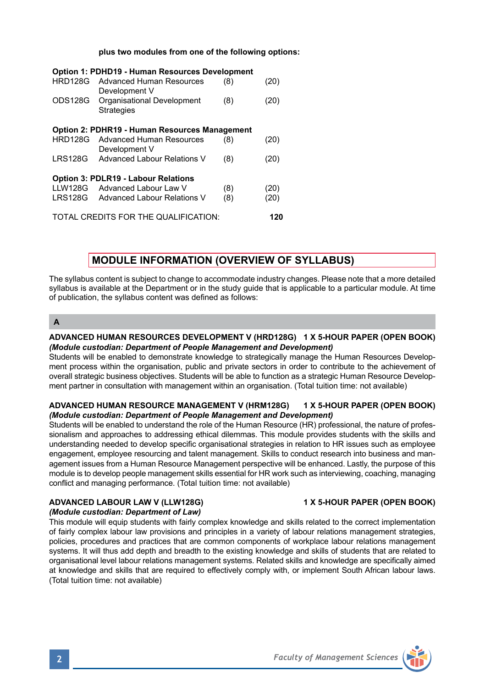#### **plus two modules from one of the following options:**

| Option 1: PDHD19 - Human Resources Development       |                                    |     |      |
|------------------------------------------------------|------------------------------------|-----|------|
| HRD128G                                              | <b>Advanced Human Resources</b>    | (8) | (20) |
|                                                      | Development V                      |     |      |
| ODS128G                                              | Organisational Development         | (8) | (20) |
|                                                      | <b>Strategies</b>                  |     |      |
| <b>Option 2: PDHR19 - Human Resources Management</b> |                                    |     |      |
| HRD128G                                              | <b>Advanced Human Resources</b>    | (8) | (20) |
|                                                      | Development V                      |     |      |
| <b>LRS128G</b>                                       | <b>Advanced Labour Relations V</b> | (8) | (20) |
| <b>Option 3: PDLR19 - Labour Relations</b>           |                                    |     |      |
|                                                      | LLW128G Advanced Labour Law V      | (8) | (20) |
| LRS128G                                              | Advanced Labour Relations V        | (8) | (20) |
| TOTAL CREDITS FOR THE QUALIFICATION:                 |                                    |     | 120  |

# **MODULE INFORMATION (OVERVIEW OF SYLLABUS)**

The syllabus content is subject to change to accommodate industry changes. Please note that a more detailed syllabus is available at the Department or in the study guide that is applicable to a particular module. At time of publication, the syllabus content was defined as follows:

**A**

#### **ADVANCED HUMAN RESOURCES DEVELOPMENT V (HRD128G) 1 X 5-HOUR PAPER (OPEN BOOK)** *(Module custodian: Department of People Management and Development)*

Students will be enabled to demonstrate knowledge to strategically manage the Human Resources Development process within the organisation, public and private sectors in order to contribute to the achievement of overall strategic business objectives. Students will be able to function as a strategic Human Resource Development partner in consultation with management within an organisation. (Total tuition time: not available)

#### **ADVANCED HUMAN RESOURCE MANAGEMENT V (HRM128G) 1 X 5-HOUR PAPER (OPEN BOOK)** *(Module custodian: Department of People Management and Development)*

Students will be enabled to understand the role of the Human Resource (HR) professional, the nature of professionalism and approaches to addressing ethical dilemmas. This module provides students with the skills and understanding needed to develop specific organisational strategies in relation to HR issues such as employee engagement, employee resourcing and talent management. Skills to conduct research into business and management issues from a Human Resource Management perspective will be enhanced. Lastly, the purpose of this module is to develop people management skills essential for HR work such as interviewing, coaching, managing conflict and managing performance. (Total tuition time: not available)

# **ADVANCED LABOUR LAW V (LLW128G) 1 X 5-HOUR PAPER (OPEN BOOK)**

### *(Module custodian: Department of Law)*

This module will equip students with fairly complex knowledge and skills related to the correct implementation of fairly complex labour law provisions and principles in a variety of labour relations management strategies, policies, procedures and practices that are common components of workplace labour relations management systems. It will thus add depth and breadth to the existing knowledge and skills of students that are related to organisational level labour relations management systems. Related skills and knowledge are specifically aimed at knowledge and skills that are required to effectively comply with, or implement South African labour laws. (Total tuition time: not available)